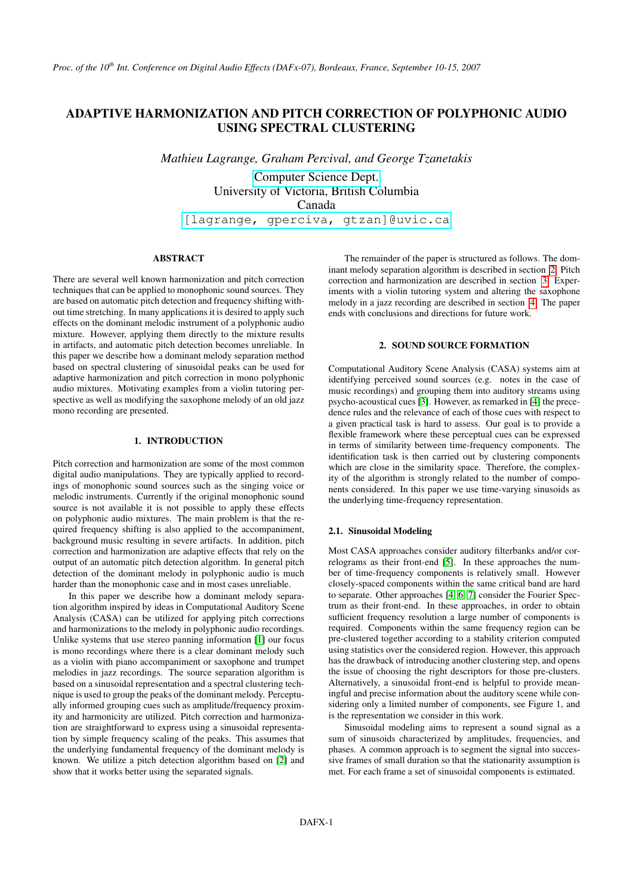# ADAPTIVE HARMONIZATION AND PITCH CORRECTION OF POLYPHONIC AUDIO USING SPECTRAL CLUSTERING

*Mathieu Lagrange, Graham Percival, and George Tzanetakis*

[Computer Science Dept.](http://www.cs.uvic.ca) University of Victoria, British Columbia Canada [\[lagrange, gperciva, gtzan\]@uvic.ca](mailto:lagrange@uvic.ca)

# ABSTRACT

There are several well known harmonization and pitch correction techniques that can be applied to monophonic sound sources. They are based on automatic pitch detection and frequency shifting without time stretching. In many applications it is desired to apply such effects on the dominant melodic instrument of a polyphonic audio mixture. However, applying them directly to the mixture results in artifacts, and automatic pitch detection becomes unreliable. In this paper we describe how a dominant melody separation method based on spectral clustering of sinusoidal peaks can be used for adaptive harmonization and pitch correction in mono polyphonic audio mixtures. Motivating examples from a violin tutoring perspective as well as modifying the saxophone melody of an old jazz mono recording are presented.

# 1. INTRODUCTION

Pitch correction and harmonization are some of the most common digital audio manipulations. They are typically applied to recordings of monophonic sound sources such as the singing voice or melodic instruments. Currently if the original monophonic sound source is not available it is not possible to apply these effects on polyphonic audio mixtures. The main problem is that the required frequency shifting is also applied to the accompaniment, background music resulting in severe artifacts. In addition, pitch correction and harmonization are adaptive effects that rely on the output of an automatic pitch detection algorithm. In general pitch detection of the dominant melody in polyphonic audio is much harder than the monophonic case and in most cases unreliable.

In this paper we describe how a dominant melody separation algorithm inspired by ideas in Computational Auditory Scene Analysis (CASA) can be utilized for applying pitch corrections and harmonizations to the melody in polyphonic audio recordings. Unlike systems that use stereo panning information [\[1\]](#page-3-0) our focus is mono recordings where there is a clear dominant melody such as a violin with piano accompaniment or saxophone and trumpet melodies in jazz recordings. The source separation algorithm is based on a sinusoidal representation and a spectral clustering technique is used to group the peaks of the dominant melody. Perceptually informed grouping cues such as amplitude/frequency proximity and harmonicity are utilized. Pitch correction and harmonization are straightforward to express using a sinusoidal representation by simple frequency scaling of the peaks. This assumes that the underlying fundamental frequency of the dominant melody is known. We utilize a pitch detection algorithm based on [\[2\]](#page-3-1) and show that it works better using the separated signals.

The remainder of the paper is structured as follows. The dominant melody separation algorithm is described in section [2.](#page-0-0) Pitch correction and harmonization are described in section [3.](#page-1-0) Experiments with a violin tutoring system and altering the saxophone melody in a jazz recording are described in section [4.](#page-3-2) The paper ends with conclusions and directions for future work.

#### 2. SOUND SOURCE FORMATION

<span id="page-0-0"></span>Computational Auditory Scene Analysis (CASA) systems aim at identifying perceived sound sources (e.g. notes in the case of music recordings) and grouping them into auditory streams using psycho-acoustical cues [\[3\]](#page-3-3). However, as remarked in [\[4\]](#page-3-4) the precedence rules and the relevance of each of those cues with respect to a given practical task is hard to assess. Our goal is to provide a flexible framework where these perceptual cues can be expressed in terms of similarity between time-frequency components. The identification task is then carried out by clustering components which are close in the similarity space. Therefore, the complexity of the algorithm is strongly related to the number of components considered. In this paper we use time-varying sinusoids as the underlying time-frequency representation.

## 2.1. Sinusoidal Modeling

Most CASA approaches consider auditory filterbanks and/or correlograms as their front-end [\[5\]](#page-3-5). In these approaches the number of time-frequency components is relatively small. However closely-spaced components within the same critical band are hard to separate. Other approaches [\[4,](#page-3-4) [6,](#page-3-6) [7\]](#page-3-7) consider the Fourier Spectrum as their front-end. In these approaches, in order to obtain sufficient frequency resolution a large number of components is required. Components within the same frequency region can be pre-clustered together according to a stability criterion computed using statistics over the considered region. However, this approach has the drawback of introducing another clustering step, and opens the issue of choosing the right descriptors for those pre-clusters. Alternatively, a sinusoidal front-end is helpful to provide meaningful and precise information about the auditory scene while considering only a limited number of components, see Figure 1, and is the representation we consider in this work.

Sinusoidal modeling aims to represent a sound signal as a sum of sinusoids characterized by amplitudes, frequencies, and phases. A common approach is to segment the signal into successive frames of small duration so that the stationarity assumption is met. For each frame a set of sinusoidal components is estimated.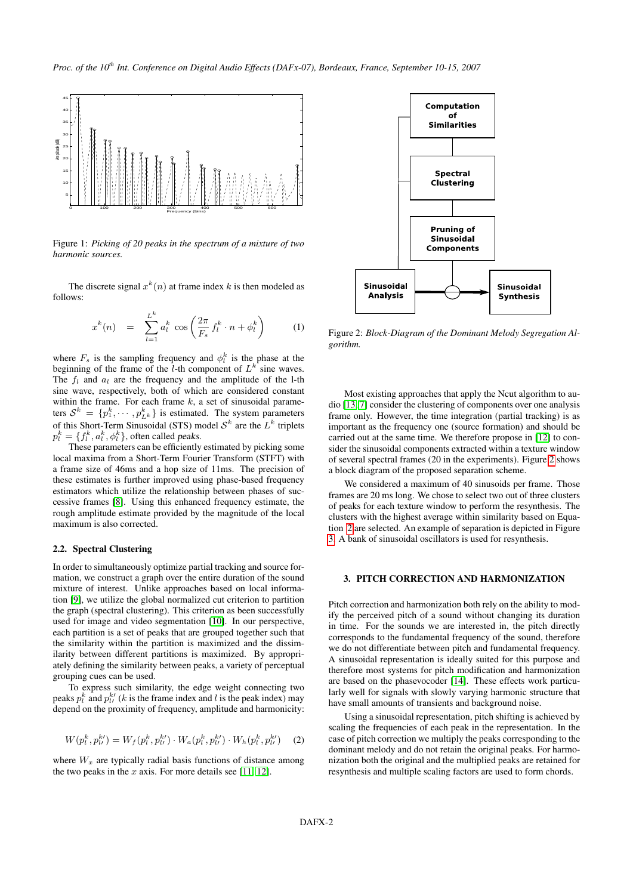

Figure 1: *Picking of 20 peaks in the spectrum of a mixture of two harmonic sources.*

The discrete signal  $x^k(n)$  at frame index k is then modeled as follows:

$$
x^{k}(n) = \sum_{l=1}^{L^{k}} a_{l}^{k} \cos\left(\frac{2\pi}{F_{s}} f_{l}^{k} \cdot n + \phi_{l}^{k}\right)
$$
 (1)

where  $F_s$  is the sampling frequency and  $\phi_i^k$  is the phase at the beginning of the frame of the *l*-th component of  $L^k$  sine waves. The  $f_l$  and  $a_l$  are the frequency and the amplitude of the l-th sine wave, respectively, both of which are considered constant within the frame. For each frame  $k$ , a set of sinusoidal parameters  $S^k = \{p_1^k, \dots, p_{L^k}^k\}$  is estimated. The system parameters of this Short-Term Sinusoidal (STS) model  $S<sup>k</sup>$  are the  $L<sup>k</sup>$  triplets  $p_l^k = \{f_l^k, a_l^k, \phi_l^k\}$ , often called *peaks*.

These parameters can be efficiently estimated by picking some local maxima from a Short-Term Fourier Transform (STFT) with a frame size of 46ms and a hop size of 11ms. The precision of these estimates is further improved using phase-based frequency estimators which utilize the relationship between phases of successive frames [\[8\]](#page-3-8). Using this enhanced frequency estimate, the rough amplitude estimate provided by the magnitude of the local maximum is also corrected.

## 2.2. Spectral Clustering

In order to simultaneously optimize partial tracking and source formation, we construct a graph over the entire duration of the sound mixture of interest. Unlike approaches based on local information [\[9\]](#page-3-9), we utilize the global normalized cut criterion to partition the graph (spectral clustering). This criterion as been successfully used for image and video segmentation [\[10\]](#page-3-10). In our perspective, each partition is a set of peaks that are grouped together such that the similarity within the partition is maximized and the dissimilarity between different partitions is maximized. By appropriately defining the similarity between peaks, a variety of perceptual grouping cues can be used.

To express such similarity, the edge weight connecting two peaks  $p_l^k$  and  $p_{l}^{k}$  (k is the frame index and l is the peak index) may depend on the proximity of frequency, amplitude and harmonicity:

<span id="page-1-2"></span>
$$
W(p_l^k, p_{l'}^{k'}) = W_f(p_l^k, p_{l'}^{k'}) \cdot W_a(p_l^k, p_{l'}^{k'}) \cdot W_h(p_l^k, p_{l'}^{k'}) \quad (2)
$$

where  $W_x$  are typically radial basis functions of distance among the two peaks in the  $x$  axis. For more details see [\[11,](#page-3-11) [12\]](#page-3-12).

<span id="page-1-1"></span>

Figure 2: *Block-Diagram of the Dominant Melody Segregation Algorithm.*

Most existing approaches that apply the Ncut algorithm to audio [\[13,](#page-3-13) [7\]](#page-3-7) consider the clustering of components over one analysis frame only. However, the time integration (partial tracking) is as important as the frequency one (source formation) and should be carried out at the same time. We therefore propose in [\[12\]](#page-3-12) to consider the sinusoidal components extracted within a texture window of several spectral frames (20 in the experiments). Figure [2](#page-1-1) shows a block diagram of the proposed separation scheme.

We considered a maximum of 40 sinusoids per frame. Those frames are 20 ms long. We chose to select two out of three clusters of peaks for each texture window to perform the resynthesis. The clusters with the highest average within similarity based on Equation [2](#page-1-2) are selected. An example of separation is depicted in Figure [3.](#page-2-0) A bank of sinusoidal oscillators is used for resynthesis.

# <span id="page-1-0"></span>3. PITCH CORRECTION AND HARMONIZATION

Pitch correction and harmonization both rely on the ability to modify the perceived pitch of a sound without changing its duration in time. For the sounds we are interested in, the pitch directly corresponds to the fundamental frequency of the sound, therefore we do not differentiate between pitch and fundamental frequency. A sinusoidal representation is ideally suited for this purpose and therefore most systems for pitch modification and harmonization are based on the phasevocoder [\[14\]](#page-3-14). These effects work particularly well for signals with slowly varying harmonic structure that have small amounts of transients and background noise.

Using a sinusoidal representation, pitch shifting is achieved by scaling the frequencies of each peak in the representation. In the case of pitch correction we multiply the peaks corresponding to the dominant melody and do not retain the original peaks. For harmonization both the original and the multiplied peaks are retained for resynthesis and multiple scaling factors are used to form chords.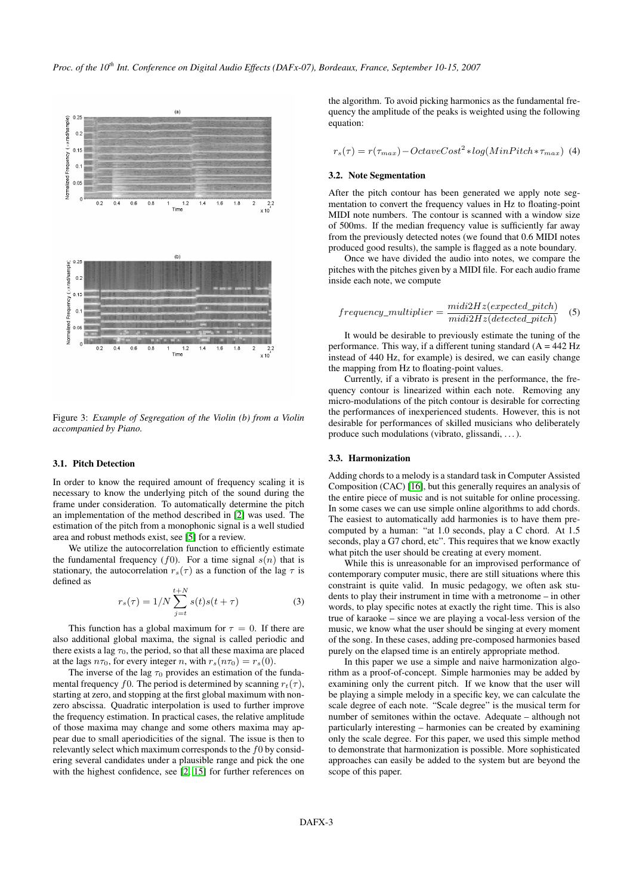<span id="page-2-0"></span>

Figure 3: *Example of Segregation of the Violin (b) from a Violin accompanied by Piano.*

#### 3.1. Pitch Detection

In order to know the required amount of frequency scaling it is necessary to know the underlying pitch of the sound during the frame under consideration. To automatically determine the pitch an implementation of the method described in [\[2\]](#page-3-1) was used. The estimation of the pitch from a monophonic signal is a well studied area and robust methods exist, see [\[5\]](#page-3-5) for a review.

We utilize the autocorrelation function to efficiently estimate the fundamental frequency (f0). For a time signal  $s(n)$  that is stationary, the autocorrelation  $r_s(\tau)$  as a function of the lag  $\tau$  is defined as

$$
r_s(\tau) = 1/N \sum_{j=t}^{t+N} s(t)s(t+\tau)
$$
 (3)

This function has a global maximum for  $\tau = 0$ . If there are also additional global maxima, the signal is called periodic and there exists a lag  $\tau_0$ , the period, so that all these maxima are placed at the lags  $n\tau_0$ , for every integer n, with  $r_s(n\tau_0) = r_s(0)$ .

The inverse of the lag  $\tau_0$  provides an estimation of the fundamental frequency f0. The period is determined by scanning  $r_t(\tau)$ , starting at zero, and stopping at the first global maximum with nonzero abscissa. Quadratic interpolation is used to further improve the frequency estimation. In practical cases, the relative amplitude of those maxima may change and some others maxima may appear due to small aperiodicities of the signal. The issue is then to relevantly select which maximum corresponds to the  $f0$  by considering several candidates under a plausible range and pick the one with the highest confidence, see [\[2,](#page-3-1) [15\]](#page-3-15) for further references on

the algorithm. To avoid picking harmonics as the fundamental frequency the amplitude of the peaks is weighted using the following equation:

$$
r_s(\tau) = r(\tau_{max}) - OctaveCost^2 * log(MinPitch * \tau_{max})
$$
 (4)

#### 3.2. Note Segmentation

After the pitch contour has been generated we apply note segmentation to convert the frequency values in Hz to floating-point MIDI note numbers. The contour is scanned with a window size of 500ms. If the median frequency value is sufficiently far away from the previously detected notes (we found that 0.6 MIDI notes produced good results), the sample is flagged as a note boundary.

Once we have divided the audio into notes, we compare the pitches with the pitches given by a MIDI file. For each audio frame inside each note, we compute

$$
frequency\_multiplier = \frac{mid2Hz(expected\_pitch)}{mid2Hz(detected\_pitch)} \quad (5)
$$

It would be desirable to previously estimate the tuning of the performance. This way, if a different tuning standard  $(A = 442 \text{ Hz})$ instead of 440 Hz, for example) is desired, we can easily change the mapping from Hz to floating-point values.

Currently, if a vibrato is present in the performance, the frequency contour is linearized within each note. Removing any micro-modulations of the pitch contour is desirable for correcting the performances of inexperienced students. However, this is not desirable for performances of skilled musicians who deliberately produce such modulations (vibrato, glissandi, . . . ).

#### 3.3. Harmonization

Adding chords to a melody is a standard task in Computer Assisted Composition (CAC) [\[16\]](#page-3-16), but this generally requires an analysis of the entire piece of music and is not suitable for online processing. In some cases we can use simple online algorithms to add chords. The easiest to automatically add harmonies is to have them precomputed by a human: "at 1.0 seconds, play a C chord. At 1.5 seconds, play a G7 chord, etc". This requires that we know exactly what pitch the user should be creating at every moment.

While this is unreasonable for an improvised performance of contemporary computer music, there are still situations where this constraint is quite valid. In music pedagogy, we often ask students to play their instrument in time with a metronome – in other words, to play specific notes at exactly the right time. This is also true of karaoke – since we are playing a vocal-less version of the music, we know what the user should be singing at every moment of the song. In these cases, adding pre-composed harmonies based purely on the elapsed time is an entirely appropriate method.

In this paper we use a simple and naive harmonization algorithm as a proof-of-concept. Simple harmonies may be added by examining only the current pitch. If we know that the user will be playing a simple melody in a specific key, we can calculate the scale degree of each note. "Scale degree" is the musical term for number of semitones within the octave. Adequate – although not particularly interesting – harmonies can be created by examining only the scale degree. For this paper, we used this simple method to demonstrate that harmonization is possible. More sophisticated approaches can easily be added to the system but are beyond the scope of this paper.